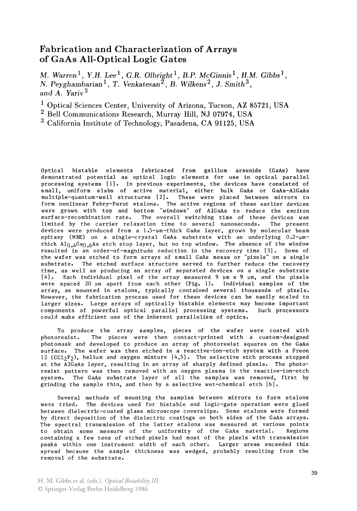## Fabrication and Characterization of Arrays of GaAs All-Optical Logic Gates

M. *Warren* l, *Y.H.* Lee <sup>l</sup> , *G.R. Olbright* 1, *B.P. McGinnisl, H.M. Gibbsl , N. Peyghambarian* 1, *T. Venkatesan 2 , B. Wilkens* 2 , J. *Smith* 3 , *and A. Yariv 3* 

- <sup>1</sup> Optical Sciences Center, University of Arizona, Tucson, AZ 85721, USA
- 2 Bell Communications Research, Murray Hill, NJ 07974, USA
- 3 California Institute of Technology, Pasadena, CA 91125, USA

Optical bistable elements fabricated from gallium arsenide (GaAs) have demonstrated potential as optical logic elements for use in optical parallel processing systems [1]. In previous experiments, the devices have consisted of small, uniform slabs of active material, either bulk GaAs or GaAs-AlGaAs multiple-quantum-well structures [21. These were placed between mirrors to form nonlinear Fabry-Perot etalons. The active regions of these earlier devices were grown with top and bottom "windows" of AIGaAs to reduce the exciton surface-recombination rate. The overall switching time of these devices was limited by the carrier relaxation time to several nanoseconds. The present devices were produced from a  $1.5$ - $\mu$ m-thick GaAs layer, grown by molecular beam epitaxy (MBE) on a single-crystal GaAs substrate with an underlying  $0.2$ -umthick  $Al_0$ ,  $4Ga_0$ ,  $6As$  etch stop layer, but no top window. The absence of the window resulted in an order-of-magnitude reduction in the recovery time (3). Some of the wafer was etched to form arrays of small GaAs mesas or "pixels" on a single substrate. The etched surface structure served to further reduce the recovery time, as well as producing an array of separated devices on a single substrate  $[4]$ . Each individual pixel of the array measured 9  $\mu$ m x 9  $\mu$ m, and the pixels were spaced 20 um apart from each other (Fig. 1). Individual samples of the array, as mounted in etalons, typically contained several thousands of pixels. However, the fabrication process used for these devices can be easily scaled to larger sizes. Large arrays of optically bistable elements may become important components of powerful optical parallel processing systems. Such processors could make efficient use of the inherent parallelism of optics.

To produce the array samples, pieces of the wafer were coated with photoresist. The pieces were then contact-printed with a custom-designed photomask and developed to produce an array of photoresist squares on the GaAs surface. The wafer was then etched in a reactive-ion-etch system with a Freon 12 ( $CC1<sub>2</sub>F<sub>2</sub>$ ), helium and oxygen mixture  $[4,5]$ . The selective etch process stopped at the AlGaAs layer, resulting in an array of sharply defined pixels. The photoresist pattern was then removed with an oxygen plasma in the reactive-ion-etch system. The GaAs substrate layer of all the samples was removed, first by grinding the sample thin, and then by a selective wet-chemical etch [6].

Several methods of mounting the samples between mirrors to form etalons were tried. The devices used for bistable and logic-gate operation were glued between dielectric-coated glass microscope coverslips. Some etalons were formed by direct deposition of the dielectric coatings on both sides of the GaAs arrays. The spectral transmission of the latter etalons was measured at various points to obtain some measure of the uniformity of the GaAs material. Regions containing a few tens of etched pixels had most of the pixels with transmission peaks within one instrument width of each other. Larger areas exceeded this spread because the sample thickness was wedged, probably resulting from the removal of the substrate.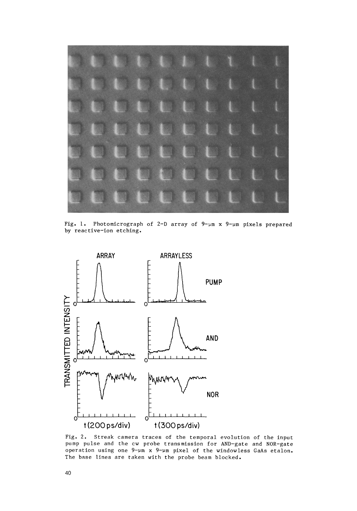

Fig. 1. Photomicrograph of 2-D array of 9-um x 9-um pixels prepared by reactive-ion etching.



Fig. 2. Streak camera traces of the temporal evolution of the input pump pulse and the cw probe transmission for AND-gate and NOR-gate operation using one 9-um x 9-um pixel of the windowless GaAs etalon. The base lines are taken with the probe beam blocked.